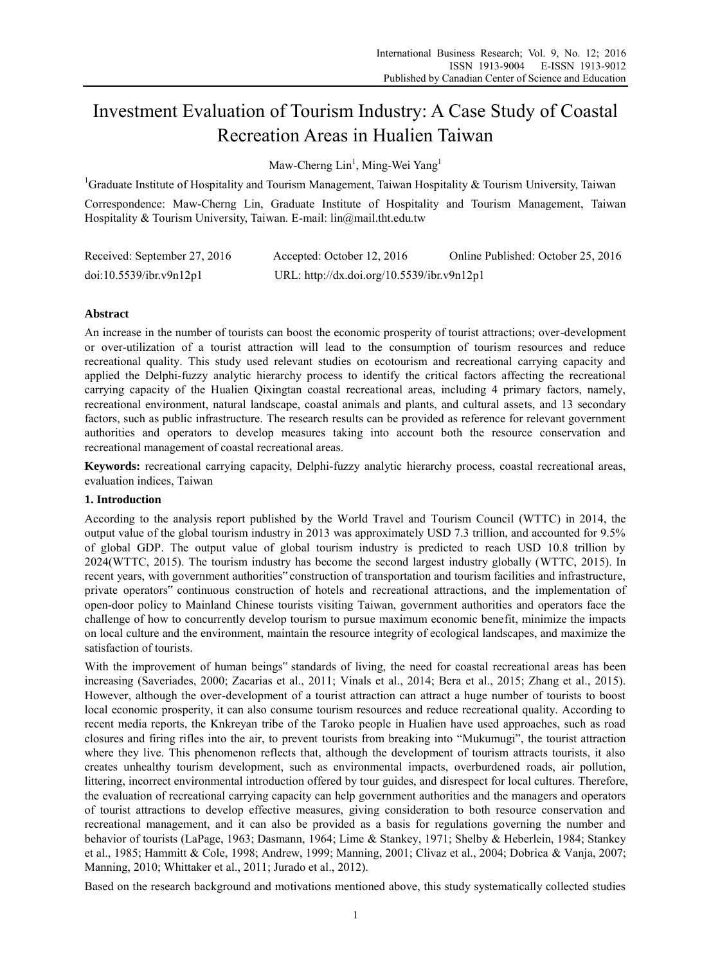# Investment Evaluation of Tourism Industry: A Case Study of Coastal Recreation Areas in Hualien Taiwan

Maw-Cherng Lin<sup>1</sup>, Ming-Wei Yang<sup>1</sup>

<sup>1</sup>Graduate Institute of Hospitality and Tourism Management, Taiwan Hospitality & Tourism University, Taiwan

Correspondence: Maw-Cherng Lin, Graduate Institute of Hospitality and Tourism Management, Taiwan Hospitality & Tourism University, Taiwan. E-mail: [lin@mail.tht.edu.tw](mailto:lin@mail.tht.edu.tw) 

| Received: September 27, 2016 | Accepted: October 12, 2016                 | Online Published: October 25, 2016 |
|------------------------------|--------------------------------------------|------------------------------------|
| doi:10.5539/ibr.v9n12p1      | URL: http://dx.doi.org/10.5539/ibr.v9n12p1 |                                    |

# **Abstract**

An increase in the number of tourists can boost the economic prosperity of tourist attractions; over-development or over-utilization of a tourist attraction will lead to the consumption of tourism resources and reduce recreational quality. This study used relevant studies on ecotourism and recreational carrying capacity and applied the Delphi-fuzzy analytic hierarchy process to identify the critical factors affecting the recreational carrying capacity of the Hualien Qixingtan coastal recreational areas, including 4 primary factors, namely, recreational environment, natural landscape, coastal animals and plants, and cultural assets, and 13 secondary factors, such as public infrastructure. The research results can be provided as reference for relevant government authorities and operators to develop measures taking into account both the resource conservation and recreational management of coastal recreational areas.

**Keywords:** recreational carrying capacity, Delphi-fuzzy analytic hierarchy process, coastal recreational areas, evaluation indices, Taiwan

## **1. Introduction**

According to the analysis report published by the World Travel and Tourism Council (WTTC) in 2014, the output value of the global tourism industry in 2013 was approximately USD 7.3 trillion, and accounted for 9.5% of global GDP. The output value of global tourism industry is predicted to reach USD 10.8 trillion by 2024(WTTC, 2015). The tourism industry has become the second largest industry globally (WTTC, 2015). In recent years, with government authorities" construction of transportation and tourism facilities and infrastructure, private operators" continuous construction of hotels and recreational attractions, and the implementation of open-door policy to Mainland Chinese tourists visiting Taiwan, government authorities and operators face the challenge of how to concurrently develop tourism to pursue maximum economic benefit, minimize the impacts on local culture and the environment, maintain the resource integrity of ecological landscapes, and maximize the satisfaction of tourists.

With the improvement of human beings" standards of living, the need for coastal recreational areas has been increasing (Saveriades, 2000; Zacarias et al., 2011; Vinals et al., 2014; Bera et al., 2015; Zhang et al., 2015). However, although the over-development of a tourist attraction can attract a huge number of tourists to boost local economic prosperity, it can also consume tourism resources and reduce recreational quality. According to recent media reports, the Knkreyan tribe of the Taroko people in Hualien have used approaches, such as road closures and firing rifles into the air, to prevent tourists from breaking into "Mukumugi", the tourist attraction where they live. This phenomenon reflects that, although the development of tourism attracts tourists, it also creates unhealthy tourism development, such as environmental impacts, overburdened roads, air pollution, littering, incorrect environmental introduction offered by tour guides, and disrespect for local cultures. Therefore, the evaluation of recreational carrying capacity can help government authorities and the managers and operators of tourist attractions to develop effective measures, giving consideration to both resource conservation and recreational management, and it can also be provided as a basis for regulations governing the number and behavior of tourists (LaPage, 1963; Dasmann, 1964; Lime & Stankey, 1971; Shelby & Heberlein, 1984; Stankey et al., 1985; Hammitt & Cole, 1998; Andrew, 1999; Manning, 2001; Clivaz et al., 2004; Dobrica & Vanja, 2007; Manning, 2010; Whittaker et al., 2011; Jurado et al., 2012).

Based on the research background and motivations mentioned above, this study systematically collected studies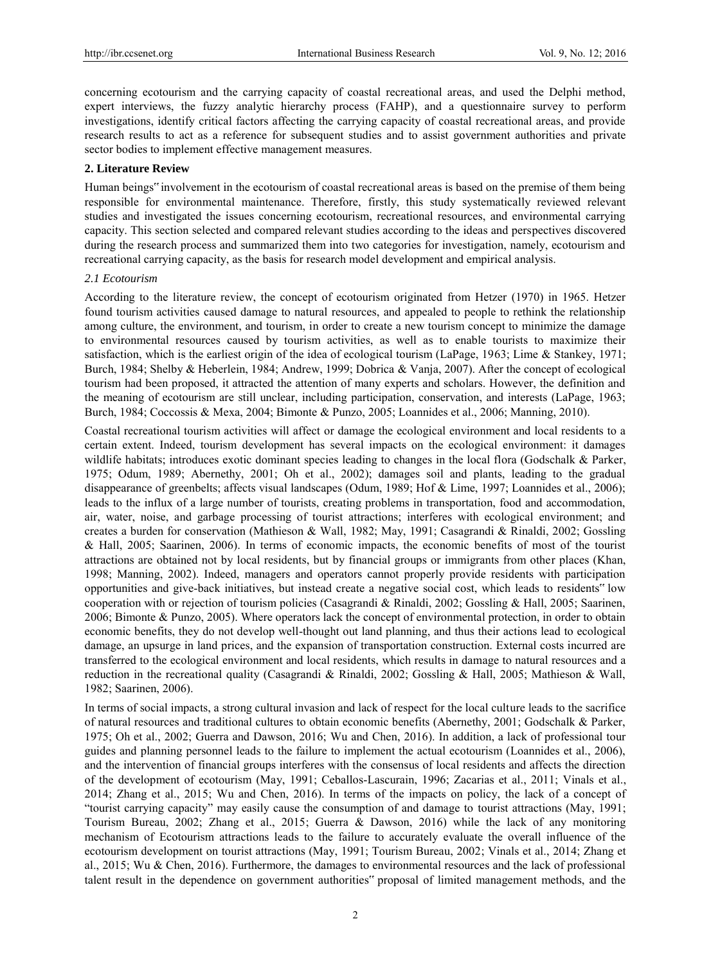concerning ecotourism and the carrying capacity of coastal recreational areas, and used the Delphi method, expert interviews, the fuzzy analytic hierarchy process (FAHP), and a questionnaire survey to perform investigations, identify critical factors affecting the carrying capacity of coastal recreational areas, and provide research results to act as a reference for subsequent studies and to assist government authorities and private sector bodies to implement effective management measures.

## **2. Literature Review**

Human beings" involvement in the ecotourism of coastal recreational areas is based on the premise of them being responsible for environmental maintenance. Therefore, firstly, this study systematically reviewed relevant studies and investigated the issues concerning ecotourism, recreational resources, and environmental carrying capacity. This section selected and compared relevant studies according to the ideas and perspectives discovered during the research process and summarized them into two categories for investigation, namely, ecotourism and recreational carrying capacity, as the basis for research model development and empirical analysis.

## *2.1 Ecotourism*

According to the literature review, the concept of ecotourism originated from Hetzer (1970) in 1965. Hetzer found tourism activities caused damage to natural resources, and appealed to people to rethink the relationship among culture, the environment, and tourism, in order to create a new tourism concept to minimize the damage to environmental resources caused by tourism activities, as well as to enable tourists to maximize their satisfaction, which is the earliest origin of the idea of ecological tourism (LaPage, 1963; Lime & Stankey, 1971; Burch, 1984; Shelby & Heberlein, 1984; Andrew, 1999; Dobrica & Vanja, 2007). After the concept of ecological tourism had been proposed, it attracted the attention of many experts and scholars. However, the definition and the meaning of ecotourism are still unclear, including participation, conservation, and interests (LaPage, 1963; Burch, 1984; Coccossis & Mexa, 2004; Bimonte & Punzo, 2005; Loannides et al., 2006; Manning, 2010).

Coastal recreational tourism activities will affect or damage the ecological environment and local residents to a certain extent. Indeed, tourism development has several impacts on the ecological environment: it damages wildlife habitats; introduces exotic dominant species leading to changes in the local flora (Godschalk & Parker, 1975; Odum, 1989; Abernethy, 2001; Oh et al., 2002); damages soil and plants, leading to the gradual disappearance of greenbelts; affects visual landscapes (Odum, 1989; Hof & Lime, 1997; Loannides et al., 2006); leads to the influx of a large number of tourists, creating problems in transportation, food and accommodation, air, water, noise, and garbage processing of tourist attractions; interferes with ecological environment; and creates a burden for conservation (Mathieson & Wall, 1982; May, 1991; Casagrandi & Rinaldi, 2002; Gossling & Hall, 2005; Saarinen, 2006). In terms of economic impacts, the economic benefits of most of the tourist attractions are obtained not by local residents, but by financial groups or immigrants from other places (Khan, 1998; Manning, 2002). Indeed, managers and operators cannot properly provide residents with participation opportunities and give-back initiatives, but instead create a negative social cost, which leads to residents" low cooperation with or rejection of tourism policies (Casagrandi & Rinaldi, 2002; Gossling & Hall, 2005; Saarinen, 2006; Bimonte & Punzo, 2005). Where operators lack the concept of environmental protection, in order to obtain economic benefits, they do not develop well-thought out land planning, and thus their actions lead to ecological damage, an upsurge in land prices, and the expansion of transportation construction. External costs incurred are transferred to the ecological environment and local residents, which results in damage to natural resources and a reduction in the recreational quality (Casagrandi & Rinaldi, 2002; Gossling & Hall, 2005; Mathieson & Wall, 1982; Saarinen, 2006).

In terms of social impacts, a strong cultural invasion and lack of respect for the local culture leads to the sacrifice of natural resources and traditional cultures to obtain economic benefits (Abernethy, 2001; Godschalk & Parker, 1975; Oh et al., 2002; Guerra and Dawson, 2016; Wu and Chen, 2016). In addition, a lack of professional tour guides and planning personnel leads to the failure to implement the actual ecotourism (Loannides et al., 2006), and the intervention of financial groups interferes with the consensus of local residents and affects the direction of the development of ecotourism (May, 1991; Ceballos-Lascurain, 1996; Zacarias et al., 2011; Vinals et al., 2014; Zhang et al., 2015; Wu and Chen, 2016). In terms of the impacts on policy, the lack of a concept of "tourist carrying capacity" may easily cause the consumption of and damage to tourist attractions (May, 1991; Tourism Bureau, 2002; Zhang et al., 2015; Guerra & Dawson, 2016) while the lack of any monitoring mechanism of Ecotourism attractions leads to the failure to accurately evaluate the overall influence of the ecotourism development on tourist attractions (May, 1991; Tourism Bureau, 2002; Vinals et al., 2014; Zhang et al., 2015; Wu & Chen, 2016). Furthermore, the damages to environmental resources and the lack of professional talent result in the dependence on government authorities" proposal of limited management methods, and the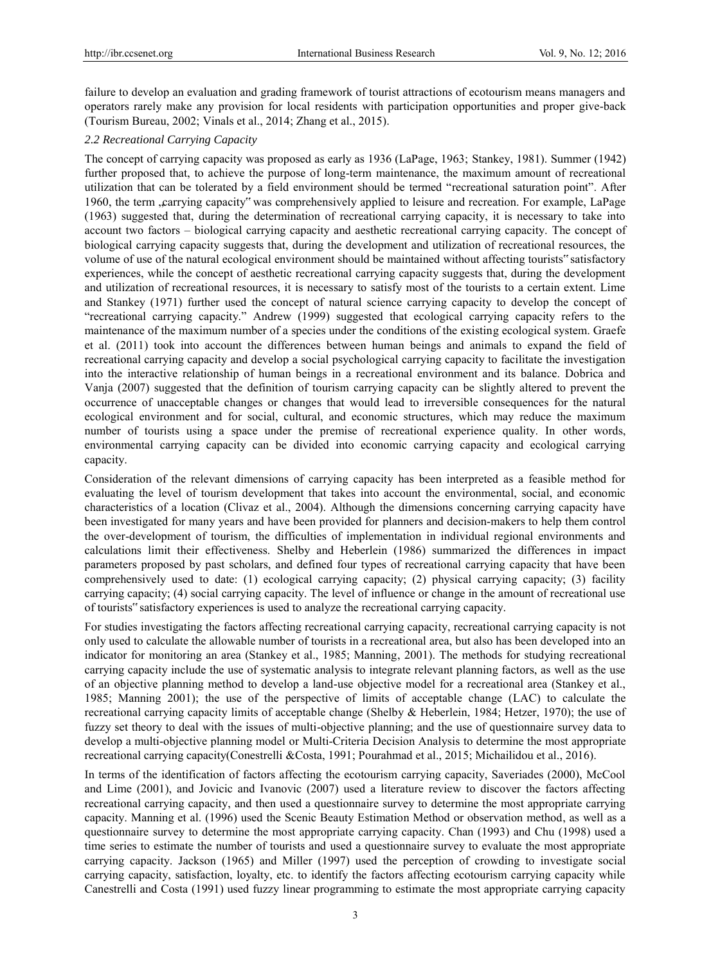failure to develop an evaluation and grading framework of tourist attractions of ecotourism means managers and operators rarely make any provision for local residents with participation opportunities and proper give-back (Tourism Bureau, 2002; Vinals et al., 2014; Zhang et al., 2015).

#### *2.2 Recreational Carrying Capacity*

The concept of carrying capacity was proposed as early as 1936 (LaPage, 1963; Stankey, 1981). Summer (1942) further proposed that, to achieve the purpose of long-term maintenance, the maximum amount of recreational utilization that can be tolerated by a field environment should be termed "recreational saturation point". After 1960, the term carrying capacity" was comprehensively applied to leisure and recreation. For example, LaPage (1963) suggested that, during the determination of recreational carrying capacity, it is necessary to take into account two factors – biological carrying capacity and aesthetic recreational carrying capacity. The concept of biological carrying capacity suggests that, during the development and utilization of recreational resources, the volume of use of the natural ecological environment should be maintained without affecting tourists" satisfactory experiences, while the concept of aesthetic recreational carrying capacity suggests that, during the development and utilization of recreational resources, it is necessary to satisfy most of the tourists to a certain extent. Lime and Stankey (1971) further used the concept of natural science carrying capacity to develop the concept of "recreational carrying capacity." Andrew (1999) suggested that ecological carrying capacity refers to the maintenance of the maximum number of a species under the conditions of the existing ecological system. Graefe et al. (2011) took into account the differences between human beings and animals to expand the field of recreational carrying capacity and develop a social psychological carrying capacity to facilitate the investigation into the interactive relationship of human beings in a recreational environment and its balance. Dobrica and Vanja (2007) suggested that the definition of tourism carrying capacity can be slightly altered to prevent the occurrence of unacceptable changes or changes that would lead to irreversible consequences for the natural ecological environment and for social, cultural, and economic structures, which may reduce the maximum number of tourists using a space under the premise of recreational experience quality. In other words, environmental carrying capacity can be divided into economic carrying capacity and ecological carrying capacity.

Consideration of the relevant dimensions of carrying capacity has been interpreted as a feasible method for evaluating the level of tourism development that takes into account the environmental, social, and economic characteristics of a location (Clivaz et al., 2004). Although the dimensions concerning carrying capacity have been investigated for many years and have been provided for planners and decision-makers to help them control the over-development of tourism, the difficulties of implementation in individual regional environments and calculations limit their effectiveness. Shelby and Heberlein (1986) summarized the differences in impact parameters proposed by past scholars, and defined four types of recreational carrying capacity that have been comprehensively used to date: (1) ecological carrying capacity; (2) physical carrying capacity; (3) facility carrying capacity; (4) social carrying capacity. The level of influence or change in the amount of recreational use of tourists" satisfactory experiences is used to analyze the recreational carrying capacity.

For studies investigating the factors affecting recreational carrying capacity, recreational carrying capacity is not only used to calculate the allowable number of tourists in a recreational area, but also has been developed into an indicator for monitoring an area (Stankey et al., 1985; Manning, 2001). The methods for studying recreational carrying capacity include the use of systematic analysis to integrate relevant planning factors, as well as the use of an objective planning method to develop a land-use objective model for a recreational area (Stankey et al., 1985; Manning 2001); the use of the perspective of limits of acceptable change (LAC) to calculate the recreational carrying capacity limits of acceptable change (Shelby & Heberlein, 1984; Hetzer, 1970); the use of fuzzy set theory to deal with the issues of multi-objective planning; and the use of questionnaire survey data to develop a multi-objective planning model or Multi-Criteria Decision Analysis to determine the most appropriate recreational carrying capacity(Conestrelli &Costa, 1991; Pourahmad et al., 2015; Michailidou et al., 2016).

In terms of the identification of factors affecting the ecotourism carrying capacity, Saveriades (2000), McCool and Lime (2001), and Jovicic and Ivanovic (2007) used a literature review to discover the factors affecting recreational carrying capacity, and then used a questionnaire survey to determine the most appropriate carrying capacity. Manning et al. (1996) used the Scenic Beauty Estimation Method or observation method, as well as a questionnaire survey to determine the most appropriate carrying capacity. Chan (1993) and Chu (1998) used a time series to estimate the number of tourists and used a questionnaire survey to evaluate the most appropriate carrying capacity. Jackson (1965) and Miller (1997) used the perception of crowding to investigate social carrying capacity, satisfaction, loyalty, etc. to identify the factors affecting ecotourism carrying capacity while Canestrelli and Costa (1991) used fuzzy linear programming to estimate the most appropriate carrying capacity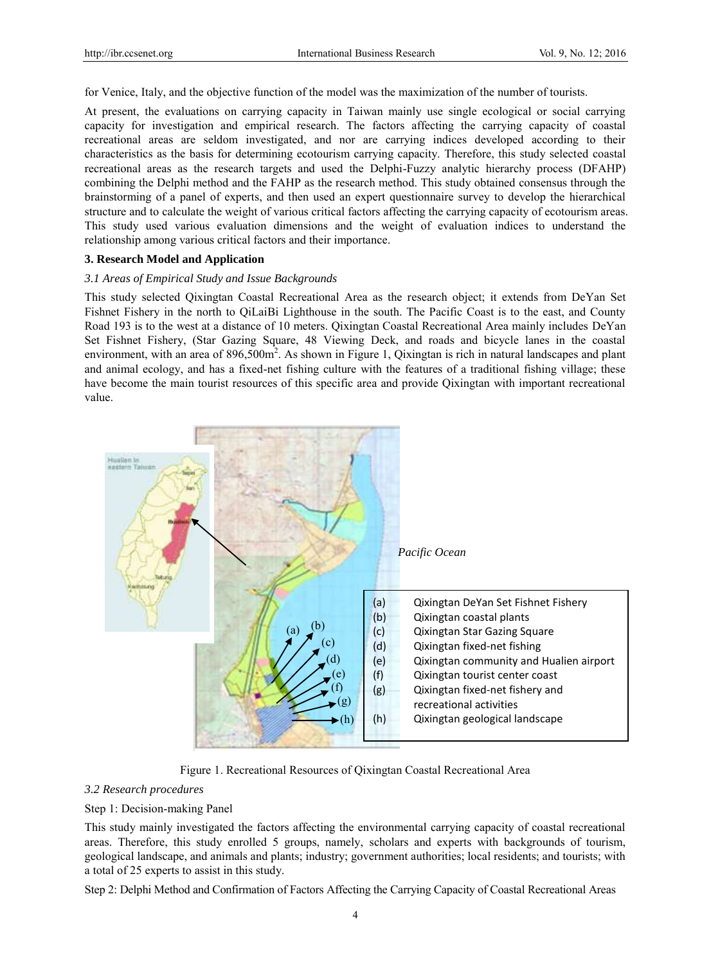for Venice, Italy, and the objective function of the model was the maximization of the number of tourists.

At present, the evaluations on carrying capacity in Taiwan mainly use single ecological or social carrying capacity for investigation and empirical research. The factors affecting the carrying capacity of coastal recreational areas are seldom investigated, and nor are carrying indices developed according to their characteristics as the basis for determining ecotourism carrying capacity. Therefore, this study selected coastal recreational areas as the research targets and used the Delphi-Fuzzy analytic hierarchy process (DFAHP) combining the Delphi method and the FAHP as the research method. This study obtained consensus through the brainstorming of a panel of experts, and then used an expert questionnaire survey to develop the hierarchical structure and to calculate the weight of various critical factors affecting the carrying capacity of ecotourism areas. This study used various evaluation dimensions and the weight of evaluation indices to understand the relationship among various critical factors and their importance.

# **3. Research Model and Application**

## *3.1 Areas of Empirical Study and Issue Backgrounds*

This study selected Qixingtan Coastal Recreational Area as the research object; it extends from DeYan Set Fishnet Fishery in the north to QiLaiBi Lighthouse in the south. The Pacific Coast is to the east, and County Road 193 is to the west at a distance of 10 meters. Qixingtan Coastal Recreational Area mainly includes DeYan Set Fishnet Fishery, (Star Gazing Square, 48 Viewing Deck, and roads and bicycle lanes in the coastal environment, with an area of  $896,500$ m<sup>2</sup>. As shown in Figure 1, Qixingtan is rich in natural landscapes and plant and animal ecology, and has a fixed-net fishing culture with the features of a traditional fishing village; these have become the main tourist resources of this specific area and provide Qixingtan with important recreational value.



Figure 1. Recreational Resources of Qixingtan Coastal Recreational Area

# *3.2 Research procedures*

# Step 1: Decision-making Panel

This study mainly investigated the factors affecting the environmental carrying capacity of coastal recreational areas. Therefore, this study enrolled 5 groups, namely, scholars and experts with backgrounds of tourism, geological landscape, and animals and plants; industry; government authorities; local residents; and tourists; with a total of 25 experts to assist in this study.

Step 2: Delphi Method and Confirmation of Factors Affecting the Carrying Capacity of Coastal Recreational Areas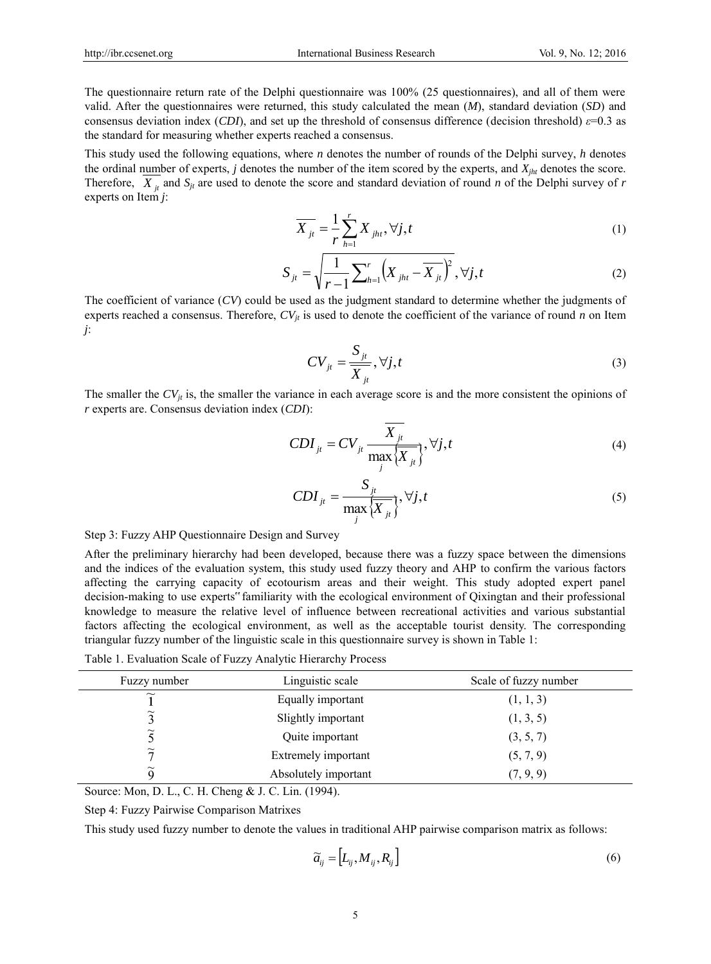The questionnaire return rate of the Delphi questionnaire was 100% (25 questionnaires), and all of them were valid. After the questionnaires were returned, this study calculated the mean (*M*), standard deviation (*SD*) and consensus deviation index (*CDI*), and set up the threshold of consensus difference (decision threshold) *ε*=0.3 as the standard for measuring whether experts reached a consensus.

This study used the following equations, where *n* denotes the number of rounds of the Delphi survey, *h* denotes the ordinal number of experts, *j* denotes the number of the item scored by the experts, and *Xjht* denotes the score. Therefore,  $X_{it}$  and  $S_{it}$  are used to denote the score and standard deviation of round *n* of the Delphi survey of *r* experts on Item *j*:

$$
\overline{X}_{jt} = \frac{1}{r} \sum_{h=1}^{r} X_{jht}, \forall j, t
$$
 (1)

$$
X_{jt} = -\sum_{r} X_{jht}, \forall j, t
$$
  
\n
$$
S_{jt} = \sqrt{\frac{1}{r-1} \sum_{h=1}^{r} (X_{jht} - \overline{X}_{jt})^{2}}, \forall j, t
$$
 (1)

The coefficient of variance (*CV*) could be used as the judgment standard to determine whether the judgments of experts reached a consensus. Therefore,  $CV_{ji}$  is used to denote the coefficient of the variance of round *n* on Item *j*:

$$
CV_{jt} = \frac{S_{jt}}{\overline{X}_{jt}}, \forall j, t
$$
\n(3)

The smaller the  $CV_{jt}$  is, the smaller the variance in each average score is and the more consistent the opinions of *r* experts are. Consensus deviation index (*CDI*):

$$
CDI_{jt} = CV_{jt} \frac{\overline{X_{jt}}}{\max_{j} \overline{X_{jt}}}, \forall j, t
$$
\n(4)

$$
CDI_{ji} = \frac{S_{ji}}{\max_{j} \{X_{ji}\}} \forall j, t
$$
 (5)

Step 3: Fuzzy AHP Questionnaire Design and Survey

After the preliminary hierarchy had been developed, because there was a fuzzy space between the dimensions and the indices of the evaluation system, this study used fuzzy theory and AHP to confirm the various factors affecting the carrying capacity of ecotourism areas and their weight. This study adopted expert panel decision-making to use experts" familiarity with the ecological environment of Qixingtan and their professional knowledge to measure the relative level of influence between recreational activities and various substantial factors affecting the ecological environment, as well as the acceptable tourist density. The corresponding triangular fuzzy number of the linguistic scale in this questionnaire survey is shown in Table 1:

Table 1. Evaluation Scale of Fuzzy Analytic Hierarchy Process

| Fuzzy number             | Linguistic scale     | Scale of fuzzy number |
|--------------------------|----------------------|-----------------------|
| $\widetilde{\cdot}$      | Equally important    | (1, 1, 3)             |
| $\widetilde{\mathbf{a}}$ | Slightly important   | (1, 3, 5)             |
| $\widetilde{\xi}$        | Quite important      | (3, 5, 7)             |
| $\widetilde{z}$          | Extremely important  | (5, 7, 9)             |
| $\widetilde{\mathbf{o}}$ | Absolutely important | (7, 9, 9)             |

Source: Mon, D. L., C. H. Cheng & J. C. Lin. (1994).

Step 4: Fuzzy Pairwise Comparison Matrixes

This study used fuzzy number to denote the values in traditional AHP pairwise comparison matrix as follows:

$$
\widetilde{a}_{ij} = [L_{ij}, M_{ij}, R_{ij}] \tag{6}
$$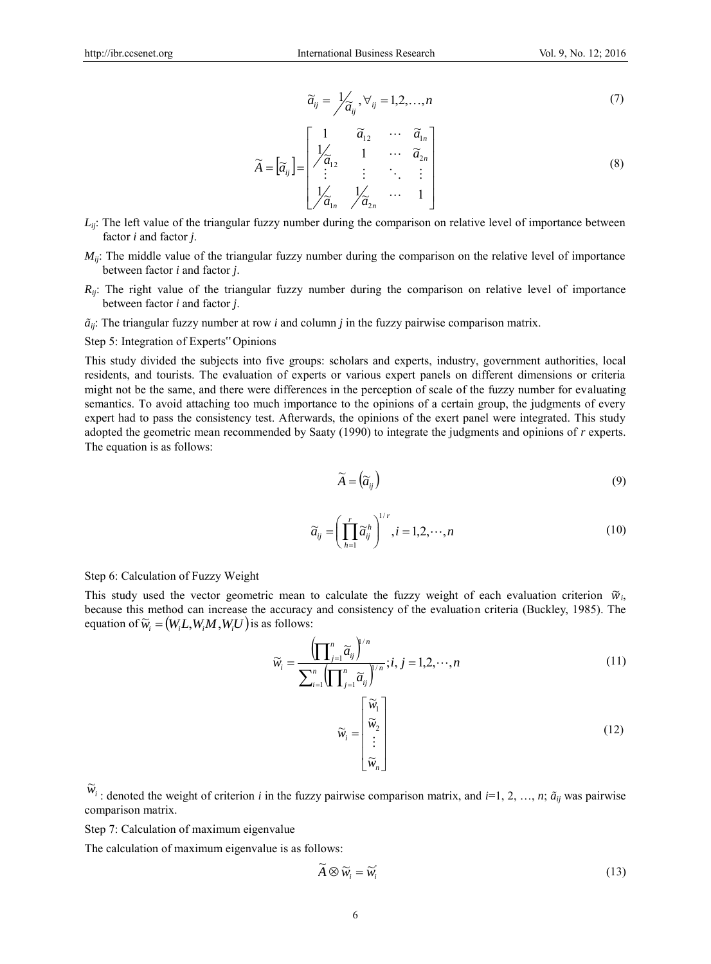$$
\widetilde{a}_{ij} = \frac{1}{2} \widetilde{a}_{ij}, \forall_{ij} = 1, 2, \dots, n
$$
\n(7)

$$
\widetilde{A} = \begin{bmatrix} \widetilde{\alpha}_{ij} \end{bmatrix} = \begin{bmatrix} 1 & \widetilde{\alpha}_{12} & \cdots & \widetilde{\alpha}_{1n} \\ \frac{1}{2} & 1 & \cdots & \widetilde{\alpha}_{2n} \\ \vdots & \vdots & \ddots & \vdots \\ \frac{1}{2} & \widetilde{\alpha}_{1n} & \frac{1}{2} & \cdots & 1 \end{bmatrix}
$$
\n(8)

- *L<sub>ij</sub>*: The left value of the triangular fuzzy number during the comparison on relative level of importance between factor *i* and factor *j*.
- *M<sub>ii</sub>*: The middle value of the triangular fuzzy number during the comparison on the relative level of importance between factor *i* and factor *j*.
- $R_{ij}$ : The right value of the triangular fuzzy number during the comparison on relative level of importance between factor *i* and factor *j*.
- *ãij*: The triangular fuzzy number at row *i* and column *j* in the fuzzy pairwise comparison matrix.

#### Step 5: Integration of Experts" Opinions

 $\widetilde{a}_{ij} \forall_{ij} = 1, 2, ..., n$ <br>  $\widetilde{a}_{12} \cdots \widetilde{a}_{1n}$ <br>  $\widetilde{a}_{12} \cdots \widetilde{a}_{1n}$ <br>  $\vdots \ddots \vdots$ <br>  $\vdots \ddots \vdots$ <br>  $\vdots \ddots \vdots$ <br>  $\vdots \ddots \vdots$ <br>  $\vdots \ddots \vdots$ <br>  $\vdots \ddots \vdots$ <br>
the comparison<br>
uring the comparison<br>
uring the comparison<br>
th This study divided the subjects into five groups: scholars and experts, industry, government authorities, local residents, and tourists. The evaluation of experts or various expert panels on different dimensions or criteria might not be the same, and there were differences in the perception of scale of the fuzzy number for evaluating semantics. To avoid attaching too much importance to the opinions of a certain group, the judgments of every expert had to pass the consistency test. Afterwards, the opinions of the exert panel were integrated. This study adopted the geometric mean recommended by Saaty (1990) to integrate the judgments and opinions of *r* experts. The equation is as follows:

$$
\widetilde{A} = \left(\widetilde{a}_{ij}\right) \tag{9}
$$

$$
\widetilde{a}_{ij} = \left(\prod_{h=1}^r \widetilde{a}_{ij}^h\right)^{1/r}, i = 1, 2, \cdots, n
$$
\n(10)

## Step 6: Calculation of Fuzzy Weight

This study used the vector geometric mean to calculate the fuzzy weight of each evaluation criterion  $\tilde{w}_{i}$ , because this method can increase the accuracy and consistency of the evaluation criteria (Buckley, 1985). The equation of  $\widetilde{w}_i = (W_i L, W_i M, W_i U)$  is as follows:<br> $\widetilde{w}_i = \frac{\left(\prod_{j=1}^n \widetilde{a}_{ij}\right)^{1/n}}{\sum_{i=1}^n \widetilde{a}_{ij}!}$ equation of  $\widetilde{w}_i = (W_i L, W_i M, W_i U)$  is as follows:

$$
\widetilde{w}_i = \frac{\left(\prod_{j=1}^n \widetilde{a}_{ij}\right)^{1/n}}{\sum_{i=1}^n \left(\prod_{j=1}^n \widetilde{a}_{ij}\right)^{1/n}}; i, j = 1, 2, \cdots, n
$$
\n(11)

$$
\widetilde{w}_i = \begin{bmatrix} \widetilde{w}_1 \\ \widetilde{w}_2 \\ \vdots \\ \widetilde{w}_n \end{bmatrix}
$$
 (12)

 $\widetilde{w}_i$ : denoted the weight of criterion *i* in the fuzzy pairwise comparison matrix, and  $i=1, 2, ..., n$ ;  $\tilde{a}_{ij}$  was pairwise comparison matrix.

Step 7: Calculation of maximum eigenvalue

The calculation of maximum eigenvalue is as follows:

$$
\widetilde{A} \otimes \widetilde{w}_i = \widetilde{w}_i \tag{13}
$$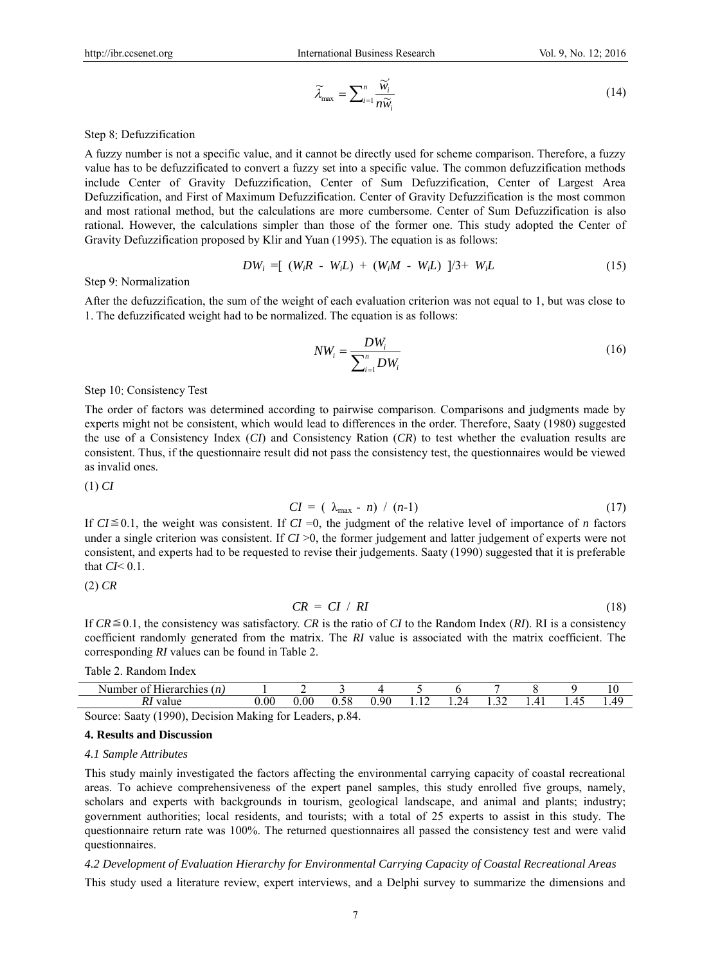$$
\widetilde{\lambda}_{\max} = \sum_{i=1}^{n} \frac{\widetilde{w}_{i}'}{n \widetilde{w}_{i}}
$$
\n(14)

#### Step 8: Defuzzification

 $\sum_{i=1}^{n}$ <br>  $\sum_{i=1}^{n}$ <br>  $\sum_{i=1}^{n}$ <br>  $\sum_{i=1}^{n}$ <br>  $\sum_{i=1}^{n}$ <br>  $\sum_{i=1}^{n}$ <br>  $\sum_{i=1}^{n}$ <br>  $\sum_{i=1}^{n}$ <br>  $\sum_{i=1}^{n}$ <br>  $\sum_{i=1}^{n}$ <br>  $\sum_{i=1}^{n}$ <br>  $\sum_{i=1}^{n}$ <br>  $\sum_{i=1}^{n}$ <br>  $\sum_{i=1}^{n}$ <br>  $\sum_{i=1}^{n}$ <br>  $\sum_{i=1}^{n}$ A fuzzy number is not a specific value, and it cannot be directly used for scheme comparison. Therefore, a fuzzy value has to be defuzzificated to convert a fuzzy set into a specific value. The common defuzzification methods include Center of Gravity Defuzzification, Center of Sum Defuzzification, Center of Largest Area Defuzzification, and First of Maximum Defuzzification. Center of Gravity Defuzzification is the most common and most rational method, but the calculations are more cumbersome. Center of Sum Defuzzification is also rational. However, the calculations simpler than those of the former one. This study adopted the Center of Gravity Defuzzification proposed by Klir and Yuan (1995). The equation is as follows:

$$
DW_i = [ (W_i R - W_i L) + (W_i M - W_i L) ]/3 + W_i L
$$
 (15)

Step 9: Normalization

After the defuzzification, the sum of the weight of each evaluation criterion was not equal to 1, but was close to 1. The defuzzificated weight had to be normalized. The equation is as follows:

$$
NW_i = \frac{DW_i}{\sum_{i=1}^n DW_i}
$$
\n(16)

Step 10: Consistency Test

The order of factors was determined according to pairwise comparison. Comparisons and judgments made by experts might not be consistent, which would lead to differences in the order. Therefore, Saaty (1980) suggested the use of a Consistency Index (*CI*) and Consistency Ration (*CR*) to test whether the evaluation results are consistent. Thus, if the questionnaire result did not pass the consistency test, the questionnaires would be viewed as invalid ones.

(1) *CI*

$$
CI = (\lambda_{\max} - n) / (n-1) \tag{17}
$$

If  $CI \leq 0.1$ , the weight was consistent. If  $CI = 0$ , the judgment of the relative level of importance of *n* factors under a single criterion was consistent. If  $CI > 0$ , the former judgement and latter judgement of experts were not consistent, and experts had to be requested to revise their judgements. Saaty (1990) suggested that it is preferable that *CI*< 0.1.

(2) *CR*

$$
CR = CI / RI \tag{18}
$$

If  $CR \le 0.1$ , the consistency was satisfactory. *CR* is the ratio of *CI* to the Random Index (*RI*). RI is a consistency coefficient randomly generated from the matrix. The *RI* value is associated with the matrix coefficient. The corresponding *RI* values can be found in Table 2.

#### Table 2. Random Index

| T<br><b>H</b> erarchies<br>√umber<br>-01<br>$\overline{n}$                                     |          |          |                       |    |             |   |                  |   |            | 1 U                 |
|------------------------------------------------------------------------------------------------|----------|----------|-----------------------|----|-------------|---|------------------|---|------------|---------------------|
| <b>D.T</b><br>$-1$<br>л.                                                                       | $0.00\,$ | $0.00\,$ | $\sim$ $\sim$<br>0.36 | 90 | $\sim$<br>. | . | . . <i>. .</i> . | . | . .<br>. . | 4 <sup>c</sup><br>. |
| $C_{\text{current}}$ , $C_{\text{right}}$ , (1000)<br>اللاحد مصطممه الصماحية وبعامله المعمومون |          |          |                       |    |             |   |                  |   |            |                     |

Source: Saaty (1990), Decision Making for Leaders, p.84.

#### **4. Results and Discussion**

#### *4.1 Sample Attributes*

This study mainly investigated the factors affecting the environmental carrying capacity of coastal recreational areas. To achieve comprehensiveness of the expert panel samples, this study enrolled five groups, namely, scholars and experts with backgrounds in tourism, geological landscape, and animal and plants; industry; government authorities; local residents, and tourists; with a total of 25 experts to assist in this study. The questionnaire return rate was 100%. The returned questionnaires all passed the consistency test and were valid questionnaires.

*4.2 Development of Evaluation Hierarchy for Environmental Carrying Capacity of Coastal Recreational Areas* 

This study used a literature review, expert interviews, and a Delphi survey to summarize the dimensions and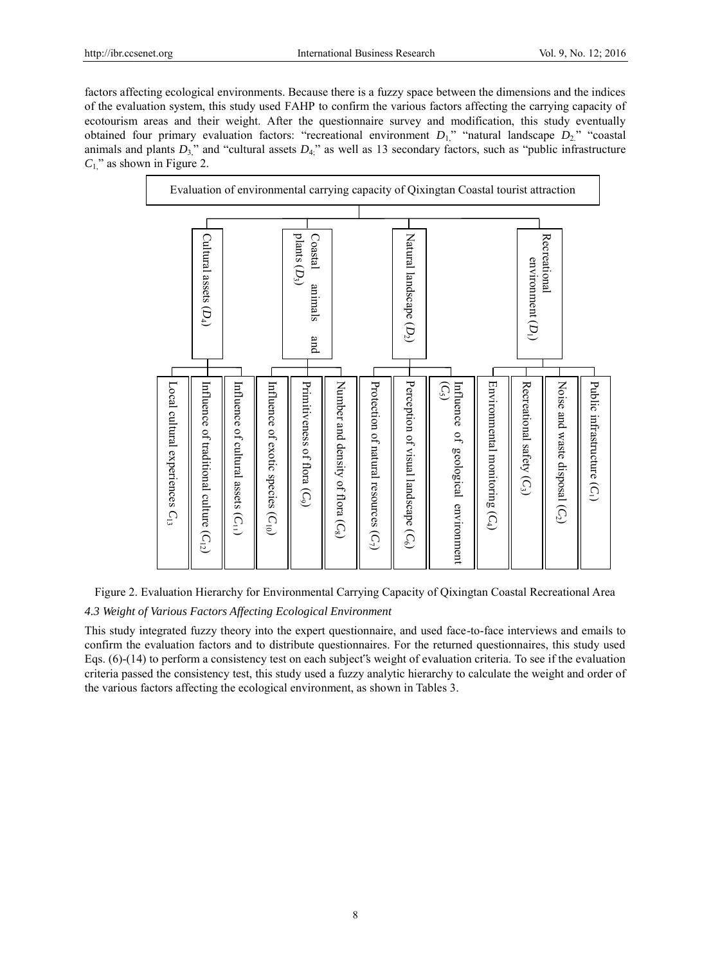factors affecting ecological environments. Because there is a fuzzy space between the dimensions and the indices of the evaluation system, this study used FAHP to confirm the various factors affecting the carrying capacity of ecotourism areas and their weight. After the questionnaire survey and modification, this study eventually obtained four primary evaluation factors: "recreational environment *D*1," "natural landscape *D*2." "coastal animals and plants  $D_3$ ," and "cultural assets  $D_4$ ," as well as 13 secondary factors, such as "public infrastructure  $C_1$ ," as shown in Figure 2.





This study integrated fuzzy theory into the expert questionnaire, and used face-to-face interviews and emails to confirm the evaluation factors and to distribute questionnaires. For the returned questionnaires, this study used Eqs. (6)-(14) to perform a consistency test on each subject"s weight of evaluation criteria. To see if the evaluation criteria passed the consistency test, this study used a fuzzy analytic hierarchy to calculate the weight and order of the various factors affecting the ecological environment, as shown in Tables 3.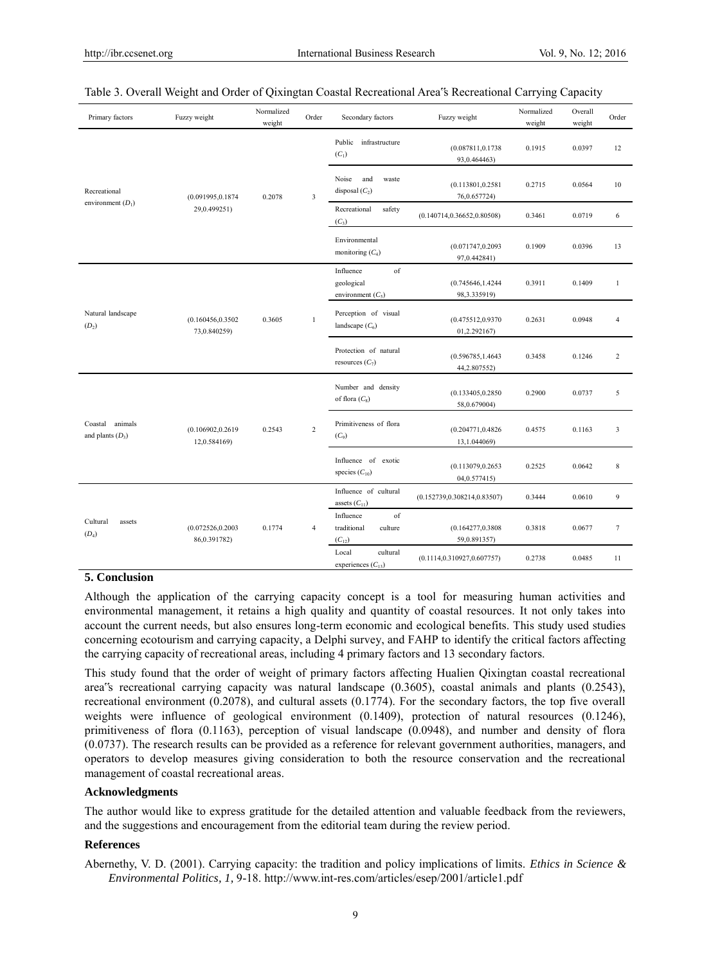| Primary factors                          | Fuzzy weight                       | Normalized<br>weight | Order          | Secondary factors                                       | Fuzzy weight                        | Normalized<br>weight | Overall<br>weight | Order          |
|------------------------------------------|------------------------------------|----------------------|----------------|---------------------------------------------------------|-------------------------------------|----------------------|-------------------|----------------|
| Recreational<br>environment $(D_1)$      | (0.091995, 0.1874)<br>29,0.499251) | 0.2078               | 3              | Public<br>infrastructure<br>$(C_1)$                     | (0.087811, 0.1738)<br>93,0.464463)  | 0.1915               | 0.0397            | 12             |
|                                          |                                    |                      |                | Noise<br>and<br>waste<br>disposal $(C_2)$               | (0.113801, 0.2581)<br>76,0.657724)  | 0.2715               | 0.0564            | 10             |
|                                          |                                    |                      |                | Recreational<br>safety<br>$(C_3)$                       | (0.140714, 0.36652, 0.80508)        | 0.3461               | 0.0719            | $\sqrt{6}$     |
|                                          |                                    |                      |                | Environmental<br>monitoring $(C_4)$                     | (0.071747, 0.2093)<br>97,0.442841)  | 0.1909               | 0.0396            | 13             |
| Natural landscape<br>$(D_2)$             | (0.160456, 0.3502)<br>73,0.840259) | 0.3605               | $\mathbf{1}$   | of<br>Influence<br>geological<br>environment $(C_5)$    | (0.745646, 1.4244)<br>98, 3.335919) | 0.3911               | 0.1409            | $\mathbf{1}$   |
|                                          |                                    |                      |                | Perception of visual<br>landscape $(C_6)$               | (0.475512, 0.9370)<br>01,2.292167)  | 0.2631               | 0.0948            | $\overline{4}$ |
|                                          |                                    |                      |                | Protection of natural<br>resources $(C_7)$              | (0.596785, 1.4643)<br>44,2.807552)  | 0.3458               | 0.1246            | 2              |
| animals<br>Coastal<br>and plants $(D_3)$ | (0.106902, 0.2619)<br>12,0.584169) | 0.2543               | $\sqrt{2}$     | Number and density<br>of flora $(C_8)$                  | (0.133405, 0.2850)<br>58,0.679004)  | 0.2900               | 0.0737            | 5              |
|                                          |                                    |                      |                | Primitiveness of flora<br>$(C_9)$                       | (0.204771, 0.4826)<br>13,1.044069)  | 0.4575               | 0.1163            | 3              |
|                                          |                                    |                      |                | Influence of exotic<br>species $(C_{10})$               | (0.113079, 0.2653)<br>04,0.577415)  | 0.2525               | 0.0642            | $\,$ 8 $\,$    |
| Cultural<br>assets<br>$(D_4)$            | (0.072526, 0.2003)<br>86,0.391782) | 0.1774               | $\overline{4}$ | Influence of cultural<br>assets $(C_{11})$              | (0.152739, 0.308214, 0.83507)       | 0.3444               | 0.0610            | 9              |
|                                          |                                    |                      |                | of<br>Influence<br>traditional<br>culture<br>$(C_{12})$ | (0.164277, 0.3808)<br>59,0.891357)  | 0.3818               | 0.0677            | $\tau$         |
|                                          |                                    |                      |                | Local<br>cultural<br>experiences $(C_{13})$             | (0.1114, 0.310927, 0.607757)        | 0.2738               | 0.0485            | 11             |

#### Table 3. Overall Weight and Order of Qixingtan Coastal Recreational Area"s Recreational Carrying Capacity

## **5. Conclusion**

Although the application of the carrying capacity concept is a tool for measuring human activities and environmental management, it retains a high quality and quantity of coastal resources. It not only takes into account the current needs, but also ensures long-term economic and ecological benefits. This study used studies concerning ecotourism and carrying capacity, a Delphi survey, and FAHP to identify the critical factors affecting the carrying capacity of recreational areas, including 4 primary factors and 13 secondary factors.

This study found that the order of weight of primary factors affecting Hualien Qixingtan coastal recreational area"s recreational carrying capacity was natural landscape (0.3605), coastal animals and plants (0.2543), recreational environment (0.2078), and cultural assets (0.1774). For the secondary factors, the top five overall weights were influence of geological environment (0.1409), protection of natural resources (0.1246), primitiveness of flora (0.1163), perception of visual landscape (0.0948), and number and density of flora (0.0737). The research results can be provided as a reference for relevant government authorities, managers, and operators to develop measures giving consideration to both the resource conservation and the recreational management of coastal recreational areas.

#### **Acknowledgments**

The author would like to express gratitude for the detailed attention and valuable feedback from the reviewers, and the suggestions and encouragement from the editorial team during the review period.

## **References**

Abernethy, V. D. (2001). Carrying capacity: the tradition and policy implications of limits. *Ethics in Science & Environmental Politics, 1,* 9-18[. http://www.int-res.com/articles/esep/2001/article1.pdf](http://www.int-res.com/articles/esep/2001/article1.pdf)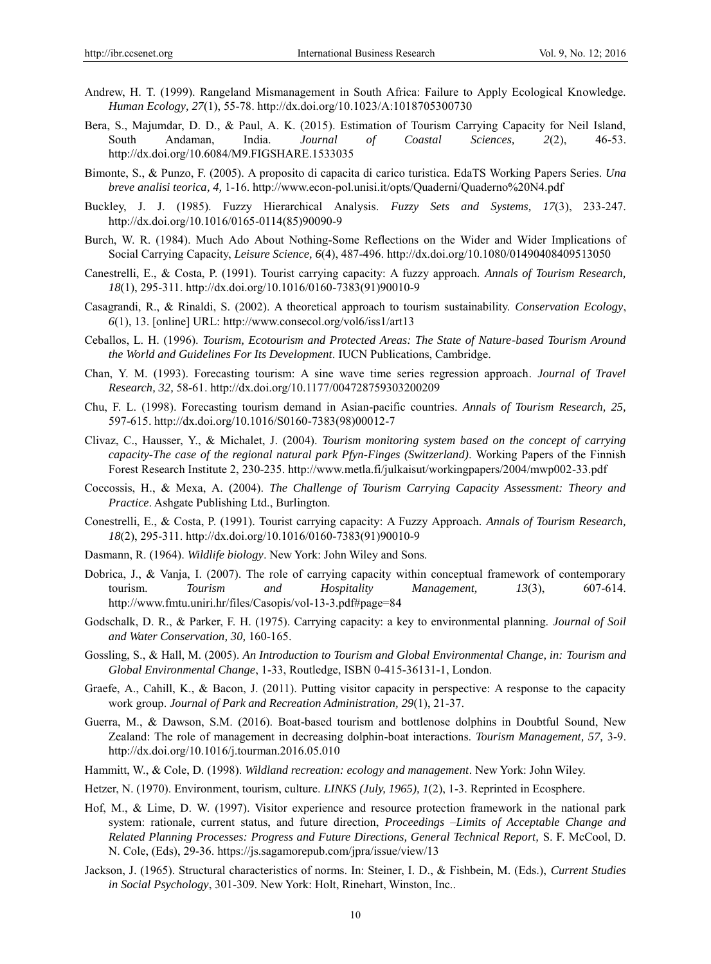- Andrew, H. T. (1999). Rangeland Mismanagement in South Africa: Failure to Apply Ecological Knowledge. *Human Ecology, 27*(1), 55-78[. http://dx.doi.org/10.1023/A:1018705300730](http://dx.doi.org/10.1023/A:1018705300730)
- Bera, S., Majumdar, D. D., & Paul, A. K. (2015). Estimation of Tourism Carrying Capacity for Neil Island, South Andaman, India. *Journal of Coastal Sciences, 2*(2), 46-53. <http://dx.doi.org/10.6084/M9.FIGSHARE.1533035>
- Bimonte, S., & Punzo, F. (2005). A proposito di capacita di carico turistica. EdaTS Working Papers Series. *Una breve analisi teorica, 4,* 1-16[. http://www.econ-pol.unisi.it/opts/Quaderni/Quaderno%20N4.pdf](http://www.econ-pol.unisi.it/opts/Quaderni/Quaderno%20N4.pdf)
- Buckley, J. J. (1985). Fuzzy Hierarchical Analysis. *Fuzzy Sets and Systems, 17*(3), 233-247. [http://dx.doi.org/10.1016/0165-0114\(85\)90090-9](http://dx.doi.org/10.1016/0165-0114%2885%2990090-9)
- Burch, W. R. (1984). Much Ado About Nothing-Some Reflections on the Wider and Wider Implications of Social Carrying Capacity, *Leisure Science, 6*(4), 487-496.<http://dx.doi.org/10.1080/01490408409513050>
- Canestrelli, E., & Costa, P. (1991). Tourist carrying capacity: A fuzzy approach. *Annals of Tourism Research, 18*(1), 295-311[. http://dx.doi.org/10.1016/0160-7383\(91\)90010-9](http://dx.doi.org/10.1016/0160-7383%2891%2990010-9)
- Casagrandi, R., & Rinaldi, S. (2002). A theoretical approach to tourism sustainability. *Conservation Ecology*, *6*(1), 13. [online] URL:<http://www.consecol.org/vol6/iss1/art13>
- Ceballos, L. H. (1996). *Tourism, Ecotourism and Protected Areas: The State of Nature-based Tourism Around the World and Guidelines For Its Development*. IUCN Publications, Cambridge.
- Chan, Y. M. (1993). Forecasting tourism: A sine wave time series regression approach. *Journal of Travel Research, 32,* 58-61.<http://dx.doi.org/10.1177/004728759303200209>
- Chu, F. L. (1998). Forecasting tourism demand in Asian-pacific countries. *Annals of Tourism Research, 25,*  597-615. [http://dx.doi.org/10.1016/S0160-7383\(98\)00012-7](http://dx.doi.org/10.1016/S0160-7383(98)00012-7)
- Clivaz, C., Hausser, Y., & Michalet, J. (2004). *Tourism monitoring system based on the concept of carrying capacity-The case of the regional natural park Pfyn-Finges (Switzerland)*. Working Papers of the Finnish Forest Research Institute 2, 230-235.<http://www.metla.fi/julkaisut/workingpapers/2004/mwp002-33.pdf>
- Coccossis, H., & Mexa, A. (2004). *The Challenge of Tourism Carrying Capacity Assessment: Theory and Practice*. Ashgate Publishing Ltd., Burlington.
- Conestrelli, E., & Costa, P. (1991). Tourist carrying capacity: A Fuzzy Approach. *Annals of Tourism Research, 18*(2), 295-311[. http://dx.doi.org/10.1016/0160-7383\(91\)90010-9](http://dx.doi.org/10.1016/0160-7383%2891%2990010-9)
- Dasmann, R. (1964). *Wildlife biology*. New York: John Wiley and Sons.
- Dobrica, J., & Vanja, I. (2007). The role of carrying capacity within conceptual framework of contemporary tourism. *Tourism and Hospitality Management, 13*(3), 607-614. <http://www.fmtu.uniri.hr/files/Casopis/vol-13-3.pdf#page=84>
- Godschalk, D. R., & Parker, F. H. (1975). Carrying capacity: a key to environmental planning. *Journal of Soil and Water Conservation, 30,* 160-165.
- Gossling, S., & Hall, M. (2005). *An Introduction to Tourism and Global Environmental Change, in: Tourism and Global Environmental Change*, 1-33, Routledge, ISBN 0-415-36131-1, London.
- Graefe, A., Cahill, K., & Bacon, J. (2011). Putting visitor capacity in perspective: A response to the capacity work group. *Journal of Park and Recreation Administration, 29*(1), 21-37.
- Guerra, M., & Dawson, S.M. (2016). Boat-based tourism and bottlenose dolphins in Doubtful Sound, New Zealand: The role of management in decreasing dolphin-boat interactions. *Tourism Management, 57,* 3-9. <http://dx.doi.org/10.1016/j.tourman.2016.05.010>
- Hammitt, W., & Cole, D. (1998). *Wildland recreation: ecology and management*. New York: John Wiley.
- Hetzer, N. (1970). Environment, tourism, culture. *LINKS (July, 1965), 1*(2), 1-3. Reprinted in Ecosphere.
- Hof, M., & Lime, D. W. (1997). Visitor experience and resource protection framework in the national park system: rationale, current status, and future direction, *Proceedings –Limits of Acceptable Change and Related Planning Processes: Progress and Future Directions, General Technical Report,* S. F. McCool, D. N. Cole, (Eds), 29-36.<https://js.sagamorepub.com/jpra/issue/view/13>
- Jackson, J. (1965). Structural characteristics of norms. In: Steiner, I. D., & Fishbein, M. (Eds.), *Current Studies in Social Psychology*, 301-309. New York: Holt, Rinehart, Winston, Inc..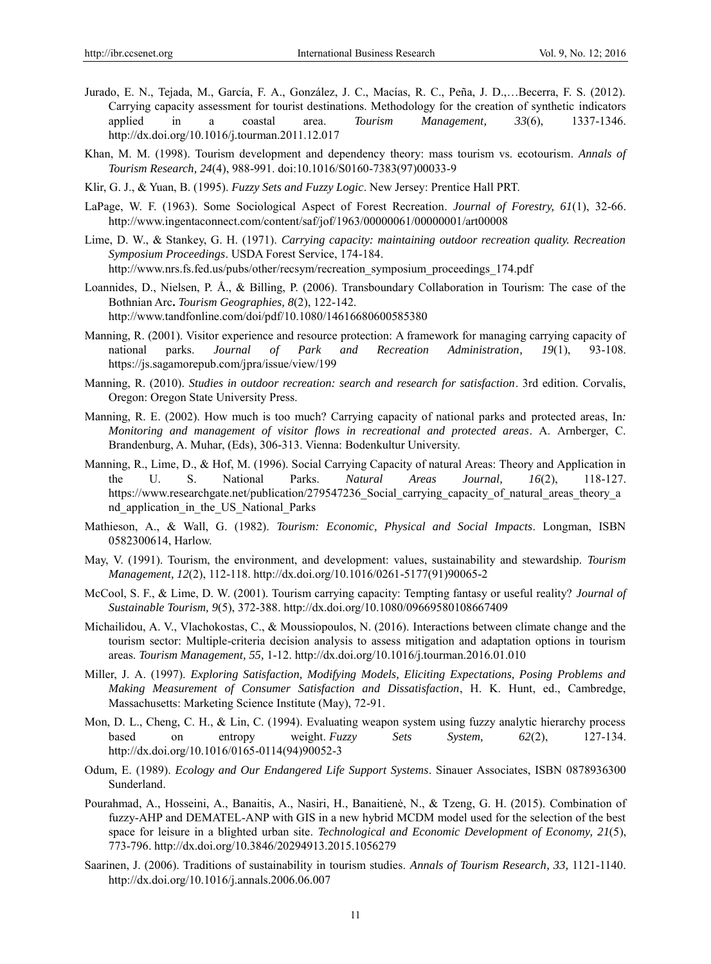- Jurado, E. N., Tejada, M., García, F. A., González, J. C., Macías, R. C., Peña, J. D.,…Becerra, F. S. (2012). Carrying capacity assessment for tourist destinations. Methodology for the creation of synthetic indicators applied in a coastal area. *Tourism Management, 33*(6), 1337-1346. <http://dx.doi.org/10.1016/j.tourman.2011.12.017>
- Khan, M. M. (1998). Tourism development and dependency theory: mass tourism vs. ecotourism. *Annals of Tourism Research, 24*(4), 988-991[. doi:10.1016/S0160-7383\(97\)00033-9](http://dx.doi.org/10.1016/S0160-7383(97)00033-9)
- Klir, G. J., & Yuan, B. (1995). *Fuzzy Sets and Fuzzy Logic*. New Jersey: Prentice Hall PRT.
- LaPage, W. F. (1963). Some Sociological Aspect of Forest Recreation. *Journal of Forestry, 61*(1), 32-66. <http://www.ingentaconnect.com/content/saf/jof/1963/00000061/00000001/art00008>
- Lime, D. W., & Stankey, G. H. (1971). *Carrying capacity: maintaining outdoor recreation quality. Recreation Symposium Proceedings*. USDA Forest Service, 174-184. [http://www.nrs.fs.fed.us/pubs/other/recsym/recreation\\_symposium\\_proceedings\\_174.pdf](http://www.nrs.fs.fed.us/pubs/other/recsym/recreation_symposium_proceedings_174.pdf)
- Loannides, D., Nielsen, P. Å., & Billing, P. (2006). Transboundary Collaboration in Tourism: The case of the Bothnian Arc**.** *Tourism Geographies, 8*(2), 122-142. <http://www.tandfonline.com/doi/pdf/10.1080/14616680600585380>
- Manning, R. (2001). Visitor experience and resource protection: A framework for managing carrying capacity of national parks. *Journal of Park and Recreation Administration, 19*(1), 93-108. <https://js.sagamorepub.com/jpra/issue/view/199>
- Manning, R. (2010). *Studies in outdoor recreation: search and research for satisfaction*. 3rd edition. Corvalis, Oregon: Oregon State University Press.
- Manning, R. E. (2002). How much is too much? Carrying capacity of national parks and protected areas, In*: Monitoring and management of visitor flows in recreational and protected areas*. A. Arnberger, C. Brandenburg, A. Muhar, (Eds), 306-313. Vienna: Bodenkultur University.
- Manning, R., Lime, D., & Hof, M. (1996). Social Carrying Capacity of natural Areas: Theory and Application in the U. S. National Parks. *Natural Areas Journal, 16*(2), 118-127. https://www.researchgate.net/publication/279547236 Social carrying capacity of natural areas theory a [nd\\_application\\_in\\_the\\_US\\_National\\_Parks](https://www.researchgate.net/publication/279547236_Social_carrying_capacity_of_natural_areas_theory_and_application_in_the_US_National_Parks)
- Mathieson, A., & Wall, G. (1982). *Tourism: Economic, Physical and Social Impacts*. Longman, ISBN 0582300614, Harlow.
- May, V. (1991). Tourism, the environment, and development: values, sustainability and stewardship. *Tourism Management, 12*(2), 112-118[. http://dx.doi.org/10.1016/0261-5177\(91\)90065-2](http://dx.doi.org/10.1016/0261-5177%2891%2990065-2)
- McCool, S. F., & Lime, D. W. (2001). Tourism carrying capacity: Tempting fantasy or useful reality? *Journal of Sustainable Tourism, 9*(5), 372-388[. http://dx.doi.org/10.1080/09669580108667409](http://dx.doi.org/10.1080/09669580108667409)
- Michailidou, A. V., Vlachokostas, C., & Moussiopoulos, Ν. (2016). Interactions between climate change and the tourism sector: Multiple-criteria decision analysis to assess mitigation and adaptation options in tourism areas. *Tourism Management, 55,* 1-12.<http://dx.doi.org/10.1016/j.tourman.2016.01.010>
- Miller, J. A. (1997). *Exploring Satisfaction, Modifying Models, Eliciting Expectations, Posing Problems and Making Measurement of Consumer Satisfaction and Dissatisfaction*, H. K. Hunt, ed., Cambredge, Massachusetts: Marketing Science Institute (May), 72-91.
- Mon, D. L., Cheng, C. H., & Lin, C. (1994). Evaluating weapon system using fuzzy analytic hierarchy process based on entropy weight. *Fuzzy Sets System, 62*(2), 127-134. [http://dx.doi.org/10.1016/0165-0114\(94\)90052-3](http://dx.doi.org/10.1016/0165-0114%2894%2990052-3)
- Odum, E. (1989). *Ecology and Our Endangered Life Support Systems*. Sinauer Associates, ISBN 0878936300 Sunderland.
- Pourahmad, A., Hosseini, A., Banaitis, A., Nasiri, H., Banaitienė, N., & Tzeng, G. H. (2015). Combination of fuzzy-AHP and DEMATEL-ANP with GIS in a new hybrid MCDM model used for the selection of the best space for leisure in a blighted urban site. *Technological and Economic Development of Economy, 21*(5), 773-796.<http://dx.doi.org/10.3846/20294913.2015.1056279>
- Saarinen, J. (2006). Traditions of sustainability in tourism studies. *Annals of Tourism Research, 33,* 1121-1140. <http://dx.doi.org/10.1016/j.annals.2006.06.007>